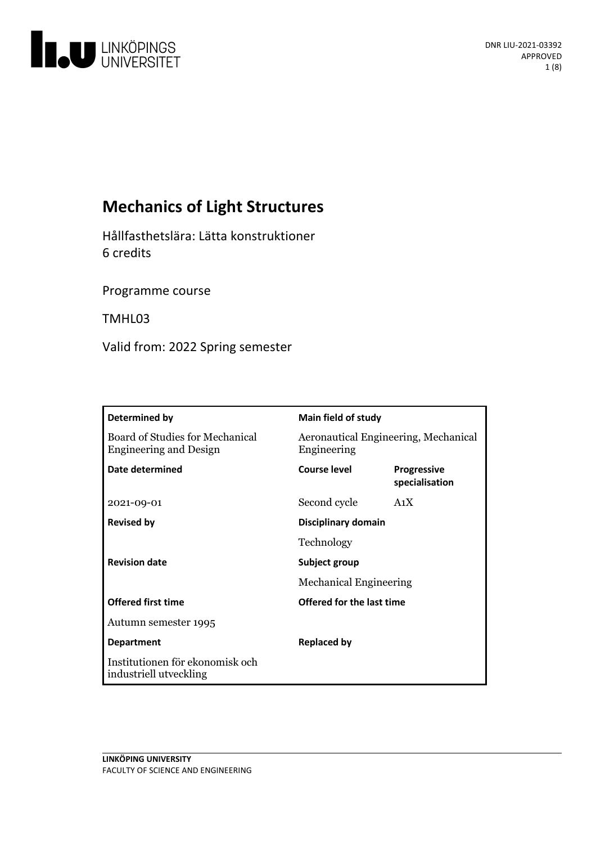

# **Mechanics of Light Structures**

Hållfasthetslära: Lätta konstruktioner 6 credits

Programme course

TMHL03

Valid from: 2022 Spring semester

| Determined by                                                    | Main field of study                                 |                                      |
|------------------------------------------------------------------|-----------------------------------------------------|--------------------------------------|
| Board of Studies for Mechanical<br><b>Engineering and Design</b> | Aeronautical Engineering, Mechanical<br>Engineering |                                      |
| Date determined                                                  | <b>Course level</b>                                 | <b>Progressive</b><br>specialisation |
| 2021-09-01                                                       | Second cycle                                        | A <sub>1</sub> X                     |
| <b>Revised by</b>                                                | Disciplinary domain                                 |                                      |
|                                                                  | Technology                                          |                                      |
| <b>Revision date</b>                                             | Subject group                                       |                                      |
|                                                                  | <b>Mechanical Engineering</b>                       |                                      |
| <b>Offered first time</b>                                        | Offered for the last time                           |                                      |
| Autumn semester 1995                                             |                                                     |                                      |
| <b>Department</b>                                                | <b>Replaced by</b>                                  |                                      |
| Institutionen för ekonomisk och<br>industriell utveckling        |                                                     |                                      |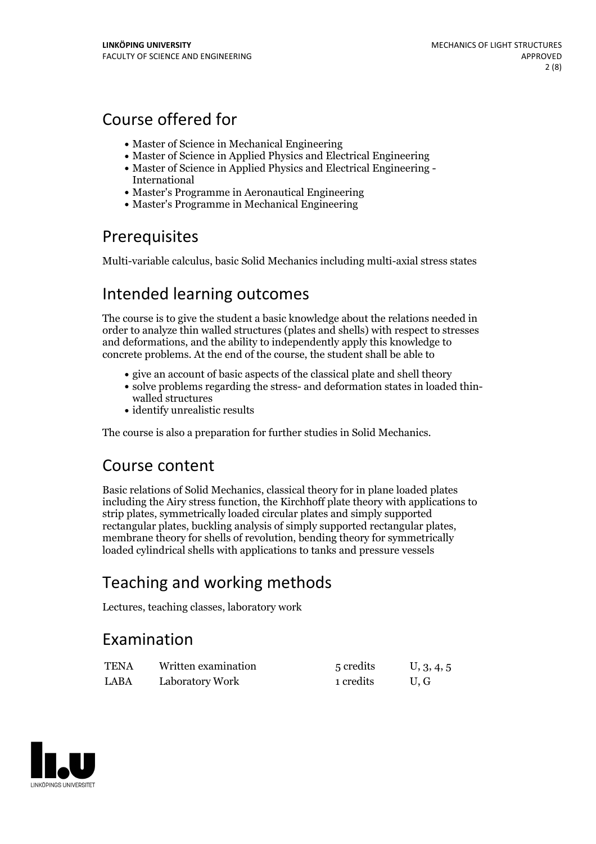# Course offered for

- Master of Science in Mechanical Engineering
- Master of Science in Applied Physics and Electrical Engineering
- Master of Science in Applied Physics and Electrical Engineering International
- Master's Programme in Aeronautical Engineering
- Master's Programme in Mechanical Engineering

## **Prerequisites**

Multi-variable calculus, basic Solid Mechanics including multi-axial stress states

## Intended learning outcomes

The course is to give the student a basic knowledge about the relations needed in order to analyze thin walled structures (plates and shells) with respect to stresses and deformations, and the ability to independently apply this knowledge to concrete problems. At the end of the course, the student shall be able to

- give an account of basic aspects of the classical plate and shell theory
- solve problems regarding the stress- and deformation states in loaded thin- walled structures
- identify unrealistic results

The course is also a preparation for further studies in Solid Mechanics.

## Course content

Basic relations of Solid Mechanics, classical theory for in plane loaded plates including the Airy stress function, the Kirchhoff plate theory with applications to strip plates, symmetrically loaded circular plates and simply supported rectangular plates, buckling analysis of simply supported rectangular plates, membrane theory for shells of revolution, bending theory for symmetrically loaded cylindrical shells with applications to tanks and pressure vessels

# Teaching and working methods

Lectures, teaching classes, laboratory work

## Examination

| <b>TENA</b> | Written examination | 5 credits | U, 3, 4, 5 |
|-------------|---------------------|-----------|------------|
| LABA        | Laboratory Work     | 1 credits | U.G        |

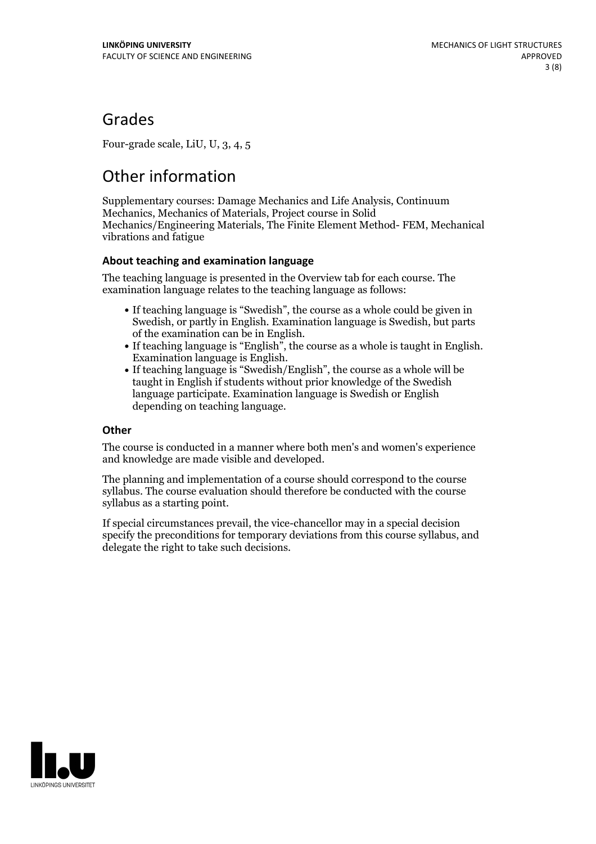## Grades

Four-grade scale, LiU, U, 3, 4, 5

# Other information

Supplementary courses: Damage Mechanics and Life Analysis, Continuum Mechanics, Mechanics of Materials, Project course in Solid Mechanics/Engineering Materials, The Finite Element Method- FEM, Mechanical vibrations and fatigue

## **About teaching and examination language**

The teaching language is presented in the Overview tab for each course. The examination language relates to the teaching language as follows:

- If teaching language is "Swedish", the course as a whole could be given in Swedish, or partly in English. Examination language is Swedish, but parts
- If teaching language is "English", the course as a whole is taught in English. Examination language is English. If teaching language is "Swedish/English", the course as a whole will be
- taught in English if students without prior knowledge of the Swedish language participate. Examination language is Swedish or English depending on teaching language.

### **Other**

The course is conducted in a manner where both men's and women's experience and knowledge are made visible and developed.

The planning and implementation of a course should correspond to the course syllabus. The course evaluation should therefore be conducted with the course syllabus as a starting point.

If special circumstances prevail, the vice-chancellor may in a special decision specify the preconditions for temporary deviations from this course syllabus, and delegate the right to take such decisions.

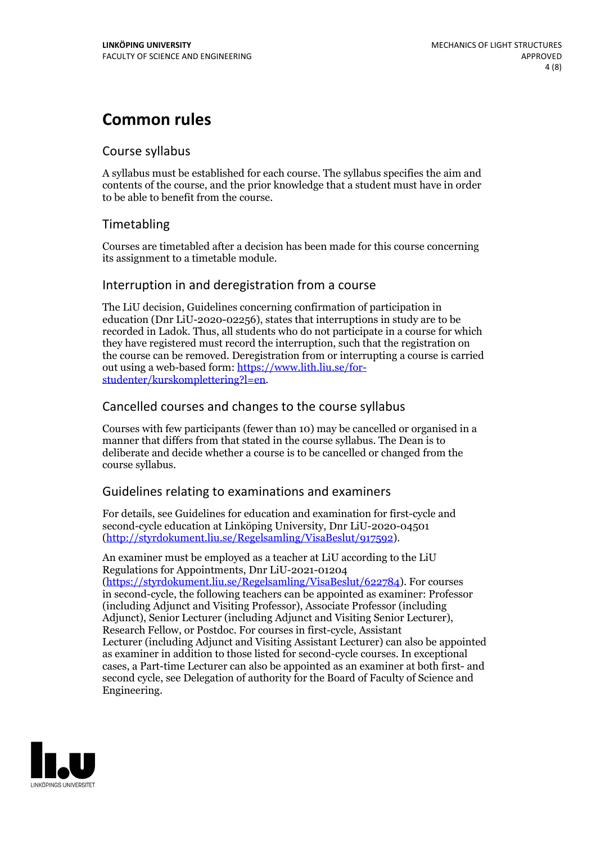## **Common rules**

### Course syllabus

A syllabus must be established for each course. The syllabus specifies the aim and contents of the course, and the prior knowledge that a student must have in order to be able to benefit from the course.

## Timetabling

Courses are timetabled after a decision has been made for this course concerning its assignment to a timetable module.

### Interruption in and deregistration from a course

The LiU decision, Guidelines concerning confirmation of participation in education (Dnr LiU-2020-02256), states that interruptions in study are to be recorded in Ladok. Thus, all students who do not participate in a course for which they have registered must record the interruption, such that the registration on the course can be removed. Deregistration from or interrupting a course is carried out using <sup>a</sup> web-based form: https://www.lith.liu.se/for- [studenter/kurskomplettering?l=en.](https://www.lith.liu.se/for-studenter/kurskomplettering?l=en)

## Cancelled courses and changes to the course syllabus

Courses with few participants (fewer than 10) may be cancelled or organised in a manner that differs from that stated in the course syllabus. The Dean is to deliberate and decide whether a course is to be cancelled or changed from the course syllabus.

## Guidelines relating to examinations and examiners

For details, see Guidelines for education and examination for first-cycle and second-cycle education at Linköping University, Dnr LiU-2020-04501 [\(http://styrdokument.liu.se/Regelsamling/VisaBeslut/917592\)](http://styrdokument.liu.se/Regelsamling/VisaBeslut/917592).

An examiner must be employed as a teacher at LiU according to the LiU Regulations for Appointments, Dnr LiU-2021-01204 [\(https://styrdokument.liu.se/Regelsamling/VisaBeslut/622784](https://styrdokument.liu.se/Regelsamling/VisaBeslut/622784)). For courses in second-cycle, the following teachers can be appointed as examiner: Professor (including Adjunct and Visiting Professor), Associate Professor (including Adjunct), Senior Lecturer (including Adjunct and Visiting Senior Lecturer), Research Fellow, or Postdoc. For courses in first-cycle, Assistant Lecturer (including Adjunct and Visiting Assistant Lecturer) can also be appointed as examiner in addition to those listed for second-cycle courses. In exceptional cases, a Part-time Lecturer can also be appointed as an examiner at both first- and second cycle, see Delegation of authority for the Board of Faculty of Science and Engineering.

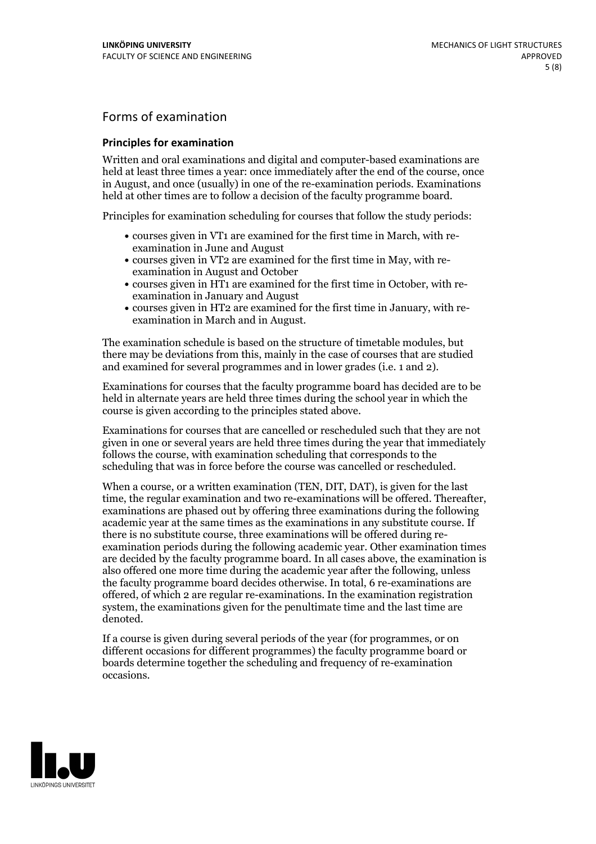## Forms of examination

#### **Principles for examination**

Written and oral examinations and digital and computer-based examinations are held at least three times a year: once immediately after the end of the course, once in August, and once (usually) in one of the re-examination periods. Examinations held at other times are to follow a decision of the faculty programme board.

Principles for examination scheduling for courses that follow the study periods:

- courses given in VT1 are examined for the first time in March, with re-examination in June and August
- courses given in VT2 are examined for the first time in May, with re-examination in August and October
- courses given in HT1 are examined for the first time in October, with re-examination in January and August
- courses given in HT2 are examined for the first time in January, with re-examination in March and in August.

The examination schedule is based on the structure of timetable modules, but there may be deviations from this, mainly in the case of courses that are studied and examined for several programmes and in lower grades (i.e. 1 and 2).

Examinations for courses that the faculty programme board has decided are to be held in alternate years are held three times during the school year in which the course is given according to the principles stated above.

Examinations for courses that are cancelled orrescheduled such that they are not given in one or several years are held three times during the year that immediately follows the course, with examination scheduling that corresponds to the scheduling that was in force before the course was cancelled or rescheduled.

When a course, or a written examination (TEN, DIT, DAT), is given for the last time, the regular examination and two re-examinations will be offered. Thereafter, examinations are phased out by offering three examinations during the following academic year at the same times as the examinations in any substitute course. If there is no substitute course, three examinations will be offered during re- examination periods during the following academic year. Other examination times are decided by the faculty programme board. In all cases above, the examination is also offered one more time during the academic year after the following, unless the faculty programme board decides otherwise. In total, 6 re-examinations are offered, of which 2 are regular re-examinations. In the examination registration system, the examinations given for the penultimate time and the last time are denoted.

If a course is given during several periods of the year (for programmes, or on different occasions for different programmes) the faculty programme board or boards determine together the scheduling and frequency of re-examination occasions.

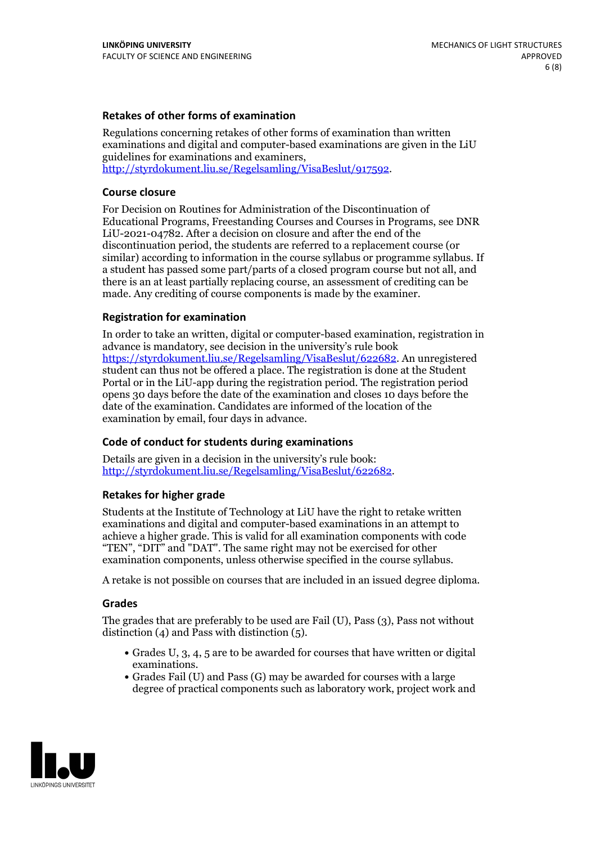### **Retakes of other forms of examination**

Regulations concerning retakes of other forms of examination than written examinations and digital and computer-based examinations are given in the LiU guidelines for examinations and examiners, [http://styrdokument.liu.se/Regelsamling/VisaBeslut/917592.](http://styrdokument.liu.se/Regelsamling/VisaBeslut/917592)

#### **Course closure**

For Decision on Routines for Administration of the Discontinuation of Educational Programs, Freestanding Courses and Courses in Programs, see DNR LiU-2021-04782. After a decision on closure and after the end of the discontinuation period, the students are referred to a replacement course (or similar) according to information in the course syllabus or programme syllabus. If a student has passed some part/parts of a closed program course but not all, and there is an at least partially replacing course, an assessment of crediting can be made. Any crediting of course components is made by the examiner.

### **Registration for examination**

In order to take an written, digital or computer-based examination, registration in advance is mandatory, see decision in the university's rule book [https://styrdokument.liu.se/Regelsamling/VisaBeslut/622682.](https://styrdokument.liu.se/Regelsamling/VisaBeslut/622682) An unregistered student can thus not be offered a place. The registration is done at the Student Portal or in the LiU-app during the registration period. The registration period opens 30 days before the date of the examination and closes 10 days before the date of the examination. Candidates are informed of the location of the examination by email, four days in advance.

### **Code of conduct for students during examinations**

Details are given in a decision in the university's rule book: <http://styrdokument.liu.se/Regelsamling/VisaBeslut/622682>.

#### **Retakes for higher grade**

Students at the Institute of Technology at LiU have the right to retake written examinations and digital and computer-based examinations in an attempt to achieve a higher grade. This is valid for all examination components with code "TEN", "DIT" and "DAT". The same right may not be exercised for other examination components, unless otherwise specified in the course syllabus.

A retake is not possible on courses that are included in an issued degree diploma.

#### **Grades**

The grades that are preferably to be used are Fail (U), Pass (3), Pass not without distinction  $(4)$  and Pass with distinction  $(5)$ .

- Grades U, 3, 4, 5 are to be awarded for courses that have written or digital examinations.<br>• Grades Fail (U) and Pass (G) may be awarded for courses with a large
- degree of practical components such as laboratory work, project work and

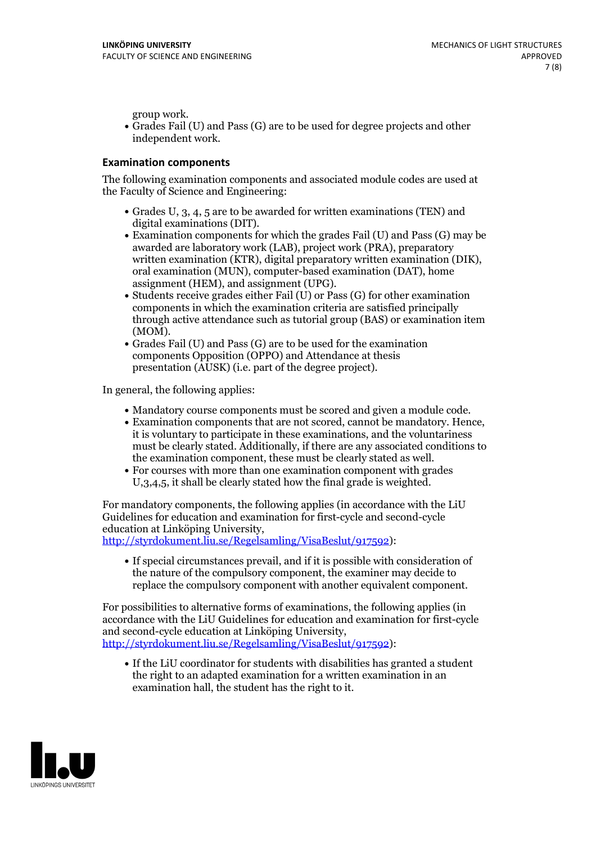group work.<br>• Grades Fail (U) and Pass (G) are to be used for degree projects and other independent work.

### **Examination components**

The following examination components and associated module codes are used at the Faculty of Science and Engineering:

- Grades U, 3, 4, 5 are to be awarded for written examinations (TEN) and
- digital examinations (DIT).<br>• Examination components for which the grades Fail (U) and Pass (G) may be awarded are laboratory work (LAB), project work (PRA), preparatory written examination (KTR), digital preparatory written examination (DIK), oral examination (MUN), computer-based examination (DAT), home
- assignment (HEM), and assignment (UPG).<br>• Students receive grades either Fail (U) or Pass (G) for other examination components in which the examination criteria are satisfied principally through active attendance such as tutorial group (BAS) or examination item
- (MOM).<br>• Grades Fail (U) and Pass (G) are to be used for the examination components Opposition (OPPO) and Attendance at thesis presentation (AUSK) (i.e. part of the degree project).

In general, the following applies:

- 
- Mandatory course components must be scored and given <sup>a</sup> module code. Examination components that are not scored, cannot be mandatory. Hence, it is voluntary to participate in these examinations, and the voluntariness must be clearly stated. Additionally, if there are any associated conditions to
- the examination component, these must be clearly stated as well.<br>• For courses with more than one examination component with grades U,3,4,5, it shall be clearly stated how the final grade is weighted.

For mandatory components, the following applies (in accordance with the LiU Guidelines for education and examination for first-cycle and second-cycle

[http://styrdokument.liu.se/Regelsamling/VisaBeslut/917592\)](http://styrdokument.liu.se/Regelsamling/VisaBeslut/917592):

If special circumstances prevail, and if it is possible with consideration of the nature of the compulsory component, the examiner may decide to replace the compulsory component with another equivalent component.

For possibilities to alternative forms of examinations, the following applies (in accordance with the LiU Guidelines for education and examination for first-cycle [http://styrdokument.liu.se/Regelsamling/VisaBeslut/917592\)](http://styrdokument.liu.se/Regelsamling/VisaBeslut/917592):

If the LiU coordinator for students with disabilities has granted a student the right to an adapted examination for a written examination in an examination hall, the student has the right to it.